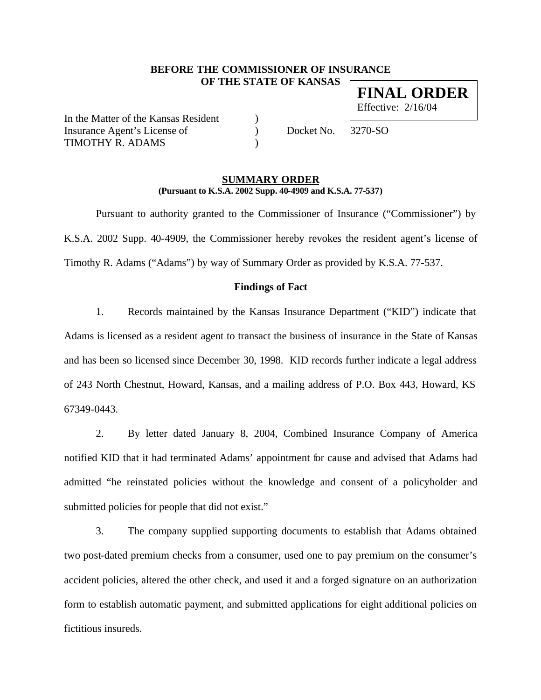## **BEFORE THE COMMISSIONER OF INSURANCE OF THE STATE OF KANSAS FINAL ORDER**

In the Matter of the Kansas Resident (1) Insurance Agent's License of  $Docket No. 3270-SO$ TIMOTHY R. ADAMS )

Effective: 2/16/04

### **SUMMARY ORDER (Pursuant to K.S.A. 2002 Supp. 40-4909 and K.S.A. 77-537)**

Pursuant to authority granted to the Commissioner of Insurance ("Commissioner") by K.S.A. 2002 Supp. 40-4909, the Commissioner hereby revokes the resident agent's license of Timothy R. Adams ("Adams") by way of Summary Order as provided by K.S.A. 77-537.

#### **Findings of Fact**

1. Records maintained by the Kansas Insurance Department ("KID") indicate that Adams is licensed as a resident agent to transact the business of insurance in the State of Kansas and has been so licensed since December 30, 1998. KID records further indicate a legal address of 243 North Chestnut, Howard, Kansas, and a mailing address of P.O. Box 443, Howard, KS 67349-0443.

2. By letter dated January 8, 2004, Combined Insurance Company of America notified KID that it had terminated Adams' appointment for cause and advised that Adams had admitted "he reinstated policies without the knowledge and consent of a policyholder and submitted policies for people that did not exist."

3. The company supplied supporting documents to establish that Adams obtained two post-dated premium checks from a consumer, used one to pay premium on the consumer's accident policies, altered the other check, and used it and a forged signature on an authorization form to establish automatic payment, and submitted applications for eight additional policies on fictitious insureds.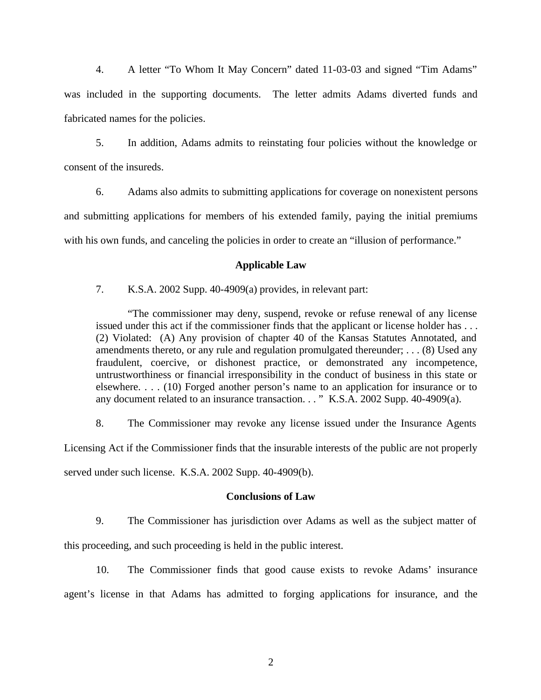4. A letter "To Whom It May Concern" dated 11-03-03 and signed "Tim Adams" was included in the supporting documents. The letter admits Adams diverted funds and fabricated names for the policies.

5. In addition, Adams admits to reinstating four policies without the knowledge or consent of the insureds.

6. Adams also admits to submitting applications for coverage on nonexistent persons and submitting applications for members of his extended family, paying the initial premiums with his own funds, and canceling the policies in order to create an "illusion of performance."

## **Applicable Law**

7. K.S.A. 2002 Supp. 40-4909(a) provides, in relevant part:

"The commissioner may deny, suspend, revoke or refuse renewal of any license issued under this act if the commissioner finds that the applicant or license holder has . . . (2) Violated: (A) Any provision of chapter 40 of the Kansas Statutes Annotated, and amendments thereto, or any rule and regulation promulgated thereunder; . . . (8) Used any fraudulent, coercive, or dishonest practice, or demonstrated any incompetence, untrustworthiness or financial irresponsibility in the conduct of business in this state or elsewhere. . . . (10) Forged another person's name to an application for insurance or to any document related to an insurance transaction. . . " K.S.A. 2002 Supp. 40-4909(a).

8. The Commissioner may revoke any license issued under the Insurance Agents Licensing Act if the Commissioner finds that the insurable interests of the public are not properly

served under such license. K.S.A. 2002 Supp. 40-4909(b).

# **Conclusions of Law**

9. The Commissioner has jurisdiction over Adams as well as the subject matter of this proceeding, and such proceeding is held in the public interest.

10. The Commissioner finds that good cause exists to revoke Adams' insurance agent's license in that Adams has admitted to forging applications for insurance, and the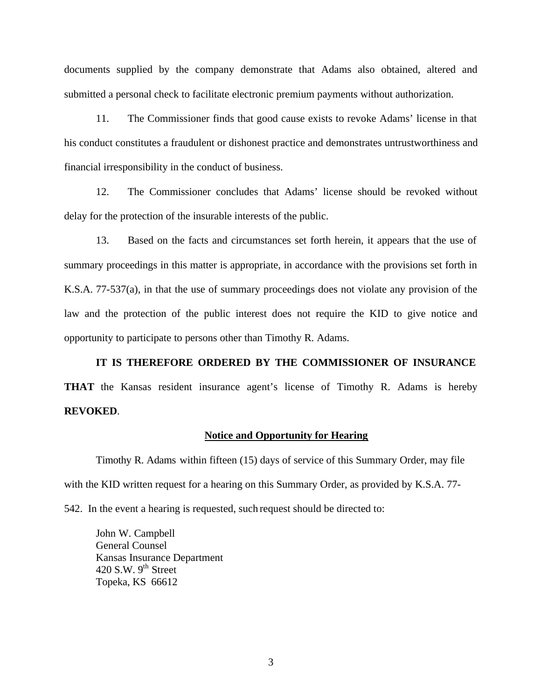documents supplied by the company demonstrate that Adams also obtained, altered and submitted a personal check to facilitate electronic premium payments without authorization.

11. The Commissioner finds that good cause exists to revoke Adams' license in that his conduct constitutes a fraudulent or dishonest practice and demonstrates untrustworthiness and financial irresponsibility in the conduct of business.

12. The Commissioner concludes that Adams' license should be revoked without delay for the protection of the insurable interests of the public.

13. Based on the facts and circumstances set forth herein, it appears that the use of summary proceedings in this matter is appropriate, in accordance with the provisions set forth in K.S.A. 77-537(a), in that the use of summary proceedings does not violate any provision of the law and the protection of the public interest does not require the KID to give notice and opportunity to participate to persons other than Timothy R. Adams.

**IT IS THEREFORE ORDERED BY THE COMMISSIONER OF INSURANCE THAT** the Kansas resident insurance agent's license of Timothy R. Adams is hereby **REVOKED**.

### **Notice and Opportunity for Hearing**

Timothy R. Adams within fifteen (15) days of service of this Summary Order, may file with the KID written request for a hearing on this Summary Order, as provided by K.S.A. 77-

542. In the event a hearing is requested, such request should be directed to:

John W. Campbell General Counsel Kansas Insurance Department 420 S.W.  $9^{th}$  Street Topeka, KS 66612

3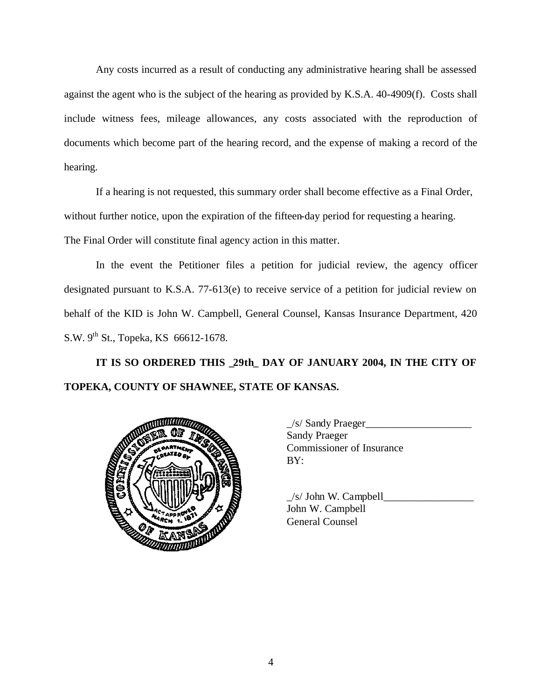Any costs incurred as a result of conducting any administrative hearing shall be assessed against the agent who is the subject of the hearing as provided by K.S.A. 40-4909(f). Costs shall include witness fees, mileage allowances, any costs associated with the reproduction of documents which become part of the hearing record, and the expense of making a record of the hearing.

If a hearing is not requested, this summary order shall become effective as a Final Order, without further notice, upon the expiration of the fifteen-day period for requesting a hearing. The Final Order will constitute final agency action in this matter.

In the event the Petitioner files a petition for judicial review, the agency officer designated pursuant to K.S.A. 77-613(e) to receive service of a petition for judicial review on behalf of the KID is John W. Campbell, General Counsel, Kansas Insurance Department, 420 S.W.  $9^{th}$  St., Topeka, KS 66612-1678.

**IT IS SO ORDERED THIS \_29th\_ DAY OF JANUARY 2004, IN THE CITY OF TOPEKA, COUNTY OF SHAWNEE, STATE OF KANSAS.** 



| $\angle$ s/ Sandy Praeger        |  |
|----------------------------------|--|
| <b>Sandy Praeger</b>             |  |
| <b>Commissioner of Insurance</b> |  |
| BY:                              |  |
|                                  |  |

 $/s/$  John W. Campbell John W. Campbell General Counsel